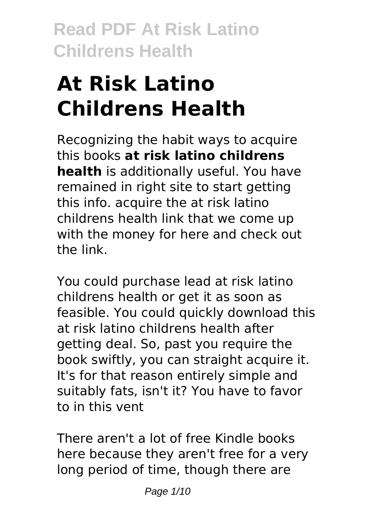# **At Risk Latino Childrens Health**

Recognizing the habit ways to acquire this books **at risk latino childrens health** is additionally useful. You have remained in right site to start getting this info. acquire the at risk latino childrens health link that we come up with the money for here and check out the link.

You could purchase lead at risk latino childrens health or get it as soon as feasible. You could quickly download this at risk latino childrens health after getting deal. So, past you require the book swiftly, you can straight acquire it. It's for that reason entirely simple and suitably fats, isn't it? You have to favor to in this vent

There aren't a lot of free Kindle books here because they aren't free for a very long period of time, though there are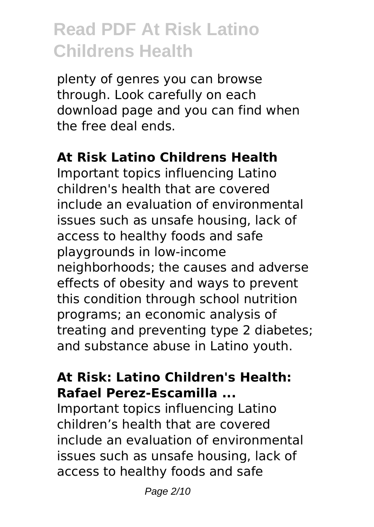plenty of genres you can browse through. Look carefully on each download page and you can find when the free deal ends.

#### **At Risk Latino Childrens Health**

Important topics influencing Latino children's health that are covered include an evaluation of environmental issues such as unsafe housing, lack of access to healthy foods and safe playgrounds in low-income neighborhoods; the causes and adverse effects of obesity and ways to prevent this condition through school nutrition programs; an economic analysis of treating and preventing type 2 diabetes; and substance abuse in Latino youth.

#### **At Risk: Latino Children's Health: Rafael Perez-Escamilla ...**

Important topics influencing Latino children's health that are covered include an evaluation of environmental issues such as unsafe housing, lack of access to healthy foods and safe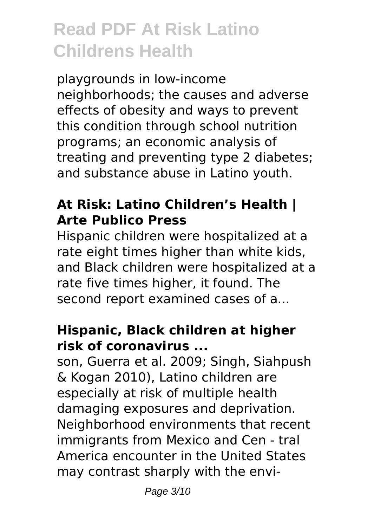playgrounds in low-income neighborhoods; the causes and adverse effects of obesity and ways to prevent this condition through school nutrition programs; an economic analysis of treating and preventing type 2 diabetes; and substance abuse in Latino youth.

#### **At Risk: Latino Children's Health | Arte Publico Press**

Hispanic children were hospitalized at a rate eight times higher than white kids, and Black children were hospitalized at a rate five times higher, it found. The second report examined cases of a...

#### **Hispanic, Black children at higher risk of coronavirus ...**

son, Guerra et al. 2009; Singh, Siahpush & Kogan 2010), Latino children are especially at risk of multiple health damaging exposures and deprivation. Neighborhood environments that recent immigrants from Mexico and Cen - tral America encounter in the United States may contrast sharply with the envi-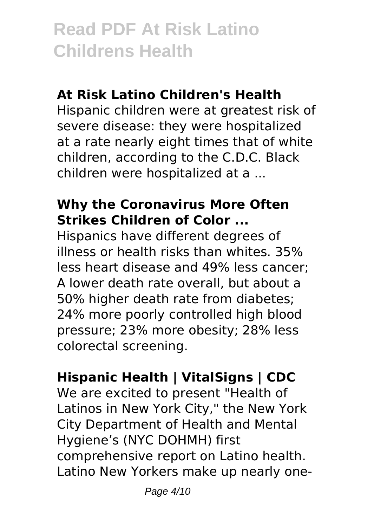#### **At Risk Latino Children's Health**

Hispanic children were at greatest risk of severe disease: they were hospitalized at a rate nearly eight times that of white children, according to the C.D.C. Black children were hospitalized at a ...

#### **Why the Coronavirus More Often Strikes Children of Color ...**

Hispanics have different degrees of illness or health risks than whites. 35% less heart disease and 49% less cancer; A lower death rate overall, but about a 50% higher death rate from diabetes; 24% more poorly controlled high blood pressure; 23% more obesity; 28% less colorectal screening.

### **Hispanic Health | VitalSigns | CDC**

We are excited to present "Health of Latinos in New York City," the New York City Department of Health and Mental Hygiene's (NYC DOHMH) first comprehensive report on Latino health. Latino New Yorkers make up nearly one-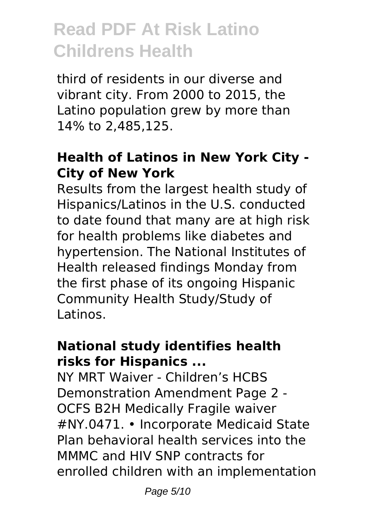third of residents in our diverse and vibrant city. From 2000 to 2015, the Latino population grew by more than 14% to 2,485,125.

#### **Health of Latinos in New York City - City of New York**

Results from the largest health study of Hispanics/Latinos in the U.S. conducted to date found that many are at high risk for health problems like diabetes and hypertension. The National Institutes of Health released findings Monday from the first phase of its ongoing Hispanic Community Health Study/Study of Latinos.

#### **National study identifies health risks for Hispanics ...**

NY MRT Waiver - Children's HCBS Demonstration Amendment Page 2 - OCFS B2H Medically Fragile waiver #NY.0471. • Incorporate Medicaid State Plan behavioral health services into the MMMC and HIV SNP contracts for enrolled children with an implementation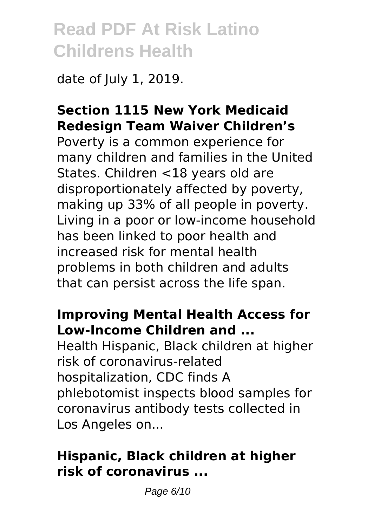date of July 1, 2019.

#### **Section 1115 New York Medicaid Redesign Team Waiver Children's**

Poverty is a common experience for many children and families in the United States. Children <18 years old are disproportionately affected by poverty, making up 33% of all people in poverty. Living in a poor or low-income household has been linked to poor health and increased risk for mental health problems in both children and adults that can persist across the life span.

#### **Improving Mental Health Access for Low-Income Children and ...**

Health Hispanic, Black children at higher risk of coronavirus-related hospitalization, CDC finds A phlebotomist inspects blood samples for coronavirus antibody tests collected in Los Angeles on...

#### **Hispanic, Black children at higher risk of coronavirus ...**

Page 6/10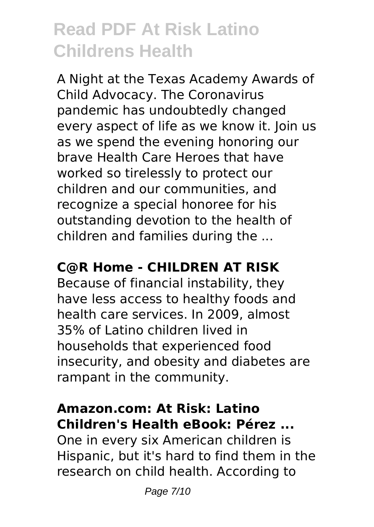A Night at the Texas Academy Awards of Child Advocacy. The Coronavirus pandemic has undoubtedly changed every aspect of life as we know it. Join us as we spend the evening honoring our brave Health Care Heroes that have worked so tirelessly to protect our children and our communities, and recognize a special honoree for his outstanding devotion to the health of children and families during the ...

#### **C@R Home - CHILDREN AT RISK**

Because of financial instability, they have less access to healthy foods and health care services. In 2009, almost 35% of Latino children lived in households that experienced food insecurity, and obesity and diabetes are rampant in the community.

#### **Amazon.com: At Risk: Latino Children's Health eBook: Pérez ...**

One in every six American children is Hispanic, but it's hard to find them in the research on child health. According to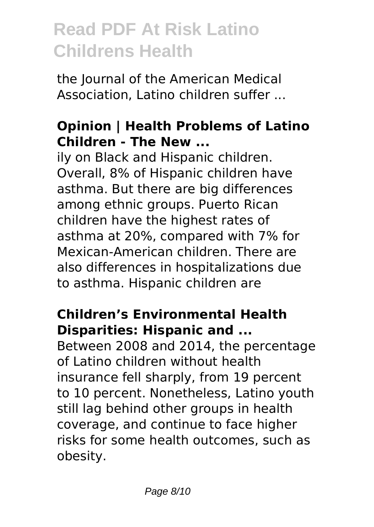the Journal of the American Medical Association, Latino children suffer ...

#### **Opinion | Health Problems of Latino Children - The New ...**

ily on Black and Hispanic children. Overall, 8% of Hispanic children have asthma. But there are big differences among ethnic groups. Puerto Rican children have the highest rates of asthma at 20%, compared with 7% for Mexican-American children. There are also differences in hospitalizations due to asthma. Hispanic children are

#### **Children's Environmental Health Disparities: Hispanic and ...**

Between 2008 and 2014, the percentage of Latino children without health insurance fell sharply, from 19 percent to 10 percent. Nonetheless, Latino youth still lag behind other groups in health coverage, and continue to face higher risks for some health outcomes, such as obesity.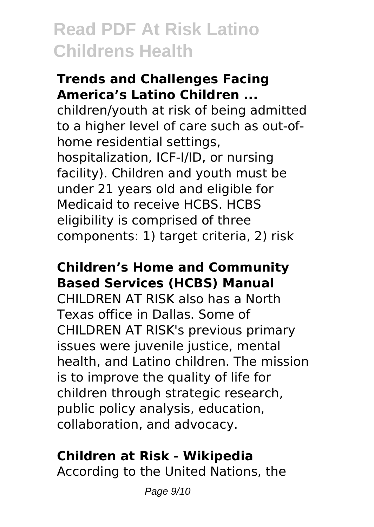#### **Trends and Challenges Facing America's Latino Children ...**

children/youth at risk of being admitted to a higher level of care such as out-ofhome residential settings, hospitalization, ICF-I/ID, or nursing facility). Children and youth must be under 21 years old and eligible for Medicaid to receive HCBS. HCBS eligibility is comprised of three components: 1) target criteria, 2) risk

#### **Children's Home and Community Based Services (HCBS) Manual**

CHILDREN AT RISK also has a North Texas office in Dallas. Some of CHILDREN AT RISK's previous primary issues were juvenile justice, mental health, and Latino children. The mission is to improve the quality of life for children through strategic research, public policy analysis, education, collaboration, and advocacy.

### **Children at Risk - Wikipedia**

According to the United Nations, the

Page 9/10